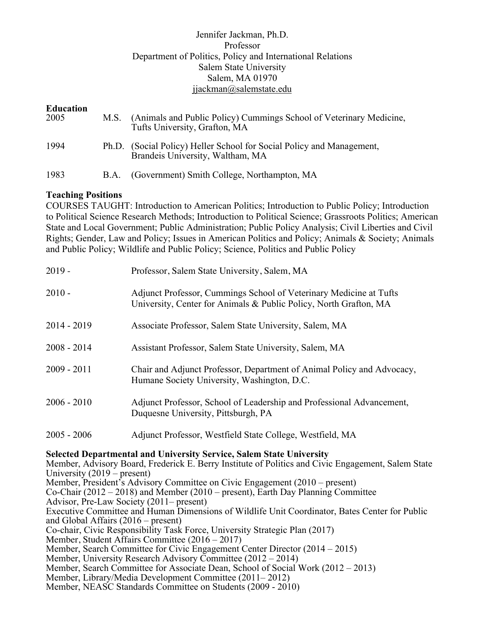# Jennifer Jackman, Ph.D. Professor Department of Politics, Policy and International Relations Salem State University Salem, MA 01970 jjackman@salemstate.edu

| <b>Education</b><br>2005 | M.S. | (Animals and Public Policy) Cummings School of Veterinary Medicine,<br>Tufts University, Grafton, MA      |
|--------------------------|------|-----------------------------------------------------------------------------------------------------------|
| 1994                     |      | Ph.D. (Social Policy) Heller School for Social Policy and Management,<br>Brandeis University, Waltham, MA |
| 1983                     | B.A. | (Government) Smith College, Northampton, MA                                                               |

# **Teaching Positions**

COURSES TAUGHT: Introduction to American Politics; Introduction to Public Policy; Introduction to Political Science Research Methods; Introduction to Political Science; Grassroots Politics; American State and Local Government; Public Administration; Public Policy Analysis; Civil Liberties and Civil Rights; Gender, Law and Policy; Issues in American Politics and Policy; Animals & Society; Animals and Public Policy; Wildlife and Public Policy; Science, Politics and Public Policy

| $2019 -$      | Professor, Salem State University, Salem, MA                                                                                            |
|---------------|-----------------------------------------------------------------------------------------------------------------------------------------|
| $2010 -$      | Adjunct Professor, Cummings School of Veterinary Medicine at Tufts<br>University, Center for Animals & Public Policy, North Grafton, MA |
| $2014 - 2019$ | Associate Professor, Salem State University, Salem, MA                                                                                  |
| $2008 - 2014$ | Assistant Professor, Salem State University, Salem, MA                                                                                  |
| $2009 - 2011$ | Chair and Adjunct Professor, Department of Animal Policy and Advocacy,<br>Humane Society University, Washington, D.C.                   |
| $2006 - 2010$ | Adjunct Professor, School of Leadership and Professional Advancement,<br>Duquesne University, Pittsburgh, PA                            |
| $2005 - 2006$ | Adjunct Professor, Westfield State College, Westfield, MA                                                                               |

#### **Selected Departmental and University Service, Salem State University**

Member, Advisory Board, Frederick E. Berry Institute of Politics and Civic Engagement, Salem State University (2019 – present)

Member, President's Advisory Committee on Civic Engagement (2010 – present) Co-Chair (2012 – 2018) and Member (2010 – present), Earth Day Planning Committee Advisor, Pre-Law Society (2011– present) Executive Committee and Human Dimensions of Wildlife Unit Coordinator, Bates Center for Public and Global Affairs (2016 – present) Co-chair, Civic Responsibility Task Force, University Strategic Plan (2017) Member, Student Affairs Committee (2016 – 2017) Member, Search Committee for Civic Engagement Center Director (2014 – 2015) Member, University Research Advisory Committee (2012 – 2014) Member, Search Committee for Associate Dean, School of Social Work (2012 – 2013) Member, Library/Media Development Committee (2011– 2012)

Member, NEASC Standards Committee on Students (2009 - 2010)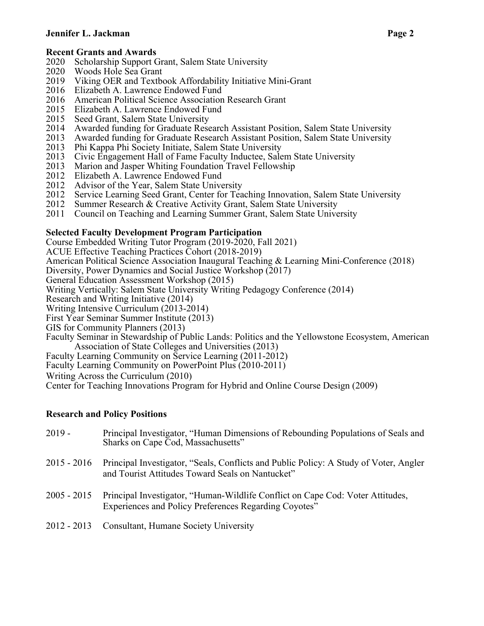# **Recent Grants and Awards**

- 2020 Scholarship Support Grant, Salem State University
- 2020 Woods Hole Sea Grant
- 2019 Viking OER and Textbook Affordability Initiative Mini-Grant
- 2016 Elizabeth A. Lawrence Endowed Fund
- 2016 American Political Science Association Research Grant
- 2015 Elizabeth A. Lawrence Endowed Fund
- 2015 Seed Grant, Salem State University
- 2014 Awarded funding for Graduate Research Assistant Position, Salem State University
- 2013 Awarded funding for Graduate Research Assistant Position, Salem State University
- 2013 Phi Kappa Phi Society Initiate, Salem State University
- 2013 Civic Engagement Hall of Fame Faculty Inductee, Salem State University
- 2013 Marion and Jasper Whiting Foundation Travel Fellowship
- 2012 Elizabeth A. Lawrence Endowed Fund
- 2012 Advisor of the Year, Salem State University
- 2012 Service Learning Seed Grant, Center for Teaching Innovation, Salem State University<br>2012 Summer Research & Creative Activity Grant, Salem State University
- Summer Research & Creative Activity Grant, Salem State University
- 2011 Council on Teaching and Learning Summer Grant, Salem State University

# **Selected Faculty Development Program Participation**

Course Embedded Writing Tutor Program (2019-2020, Fall 2021)

ACUE Effective Teaching Practices Cohort (2018-2019)

American Political Science Association Inaugural Teaching & Learning Mini-Conference (2018)

Diversity, Power Dynamics and Social Justice Workshop (2017)

General Education Assessment Workshop (2015)

Writing Vertically: Salem State University Writing Pedagogy Conference (2014)

Research and Writing Initiative (2014)

- Writing Intensive Curriculum (2013-2014)
- First Year Seminar Summer Institute (2013)

GIS for Community Planners (2013)

- Faculty Seminar in Stewardship of Public Lands: Politics and the Yellowstone Ecosystem, American Association of State Colleges and Universities (2013)
- Faculty Learning Community on Service Learning (2011-2012)
- Faculty Learning Community on PowerPoint Plus (2010-2011)

Writing Across the Curriculum (2010)

Center for Teaching Innovations Program for Hybrid and Online Course Design (2009)

# **Research and Policy Positions**

- 2019 Principal Investigator, "Human Dimensions of Rebounding Populations of Seals and Sharks on Cape Cod, Massachusetts" 2015 - 2016 Principal Investigator, "Seals, Conflicts and Public Policy: A Study of Voter, Angler and Tourist Attitudes Toward Seals on Nantucket" 2005 - 2015 Principal Investigator, "Human-Wildlife Conflict on Cape Cod: Voter Attitudes, Experiences and Policy Preferences Regarding Coyotes"
- 2012 2013 Consultant, Humane Society University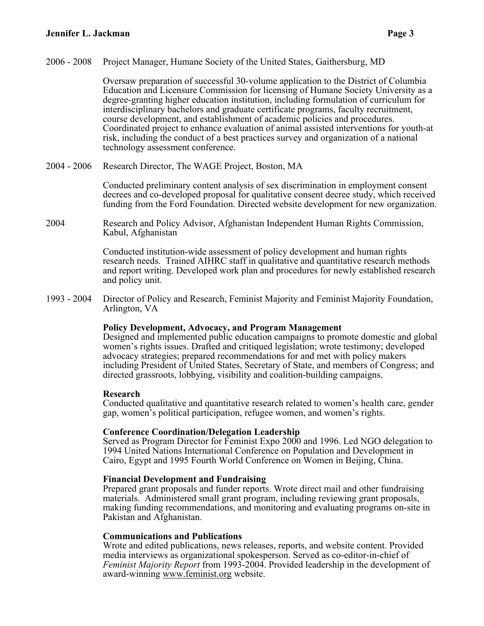2006 - 2008 Project Manager, Humane Society of the United States, Gaithersburg, MD

Oversaw preparation of successful 30-volume application to the District of Columbia Education and Licensure Commission for licensing of Humane Society University as a degree-granting higher education institution, including formulation of curriculum for interdisciplinary bachelors and graduate certificate programs, faculty recruitment, course development, and establishment of academic policies and procedures. Coordinated project to enhance evaluation of animal assisted interventions for youth-at risk, including the conduct of a best practices survey and organization of a national technology assessment conference.

2004 - 2006 Research Director, The WAGE Project, Boston, MA

Conducted preliminary content analysis of sex discrimination in employment consent decrees and co-developed proposal for qualitative consent decree study, which received funding from the Ford Foundation. Directed website development for new organization.

2004 Research and Policy Advisor, Afghanistan Independent Human Rights Commission, Kabul, Afghanistan

> Conducted institution-wide assessment of policy development and human rights research needs. Trained AIHRC staff in qualitative and quantitative research methods and report writing. Developed work plan and procedures for newly established research and policy unit.

1993 - 2004 Director of Policy and Research, Feminist Majority and Feminist Majority Foundation, Arlington, VA

#### **Policy Development, Advocacy, and Program Management**

Designed and implemented public education campaigns to promote domestic and global women's rights issues. Drafted and critiqued legislation; wrote testimony; developed advocacy strategies; prepared recommendations for and met with policy makers including President of United States, Secretary of State, and members of Congress; and directed grassroots, lobbying, visibility and coalition-building campaigns.

#### **Research**

Conducted qualitative and quantitative research related to women's health care, gender gap, women's political participation, refugee women, and women's rights.

#### **Conference Coordination/Delegation Leadership**

Served as Program Director for Feminist Expo 2000 and 1996. Led NGO delegation to 1994 United Nations International Conference on Population and Development in Cairo, Egypt and 1995 Fourth World Conference on Women in Beijing, China.

#### **Financial Development and Fundraising**

Prepared grant proposals and funder reports. Wrote direct mail and other fundraising materials. Administered small grant program, including reviewing grant proposals, making funding recommendations, and monitoring and evaluating programs on-site in Pakistan and Afghanistan.

#### **Communications and Publications**

Wrote and edited publications, news releases, reports, and website content. Provided media interviews as organizational spokesperson. Served as co-editor-in-chief of *Feminist Majority Report* from 1993-2004. Provided leadership in the development of award-winning www.feminist.org website.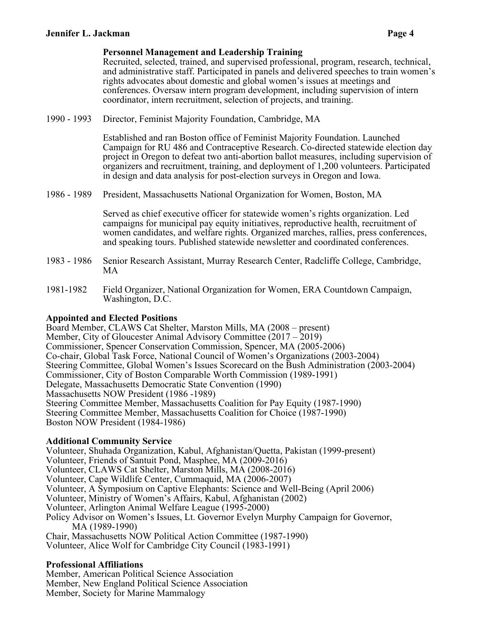## **Personnel Management and Leadership Training**

Recruited, selected, trained, and supervised professional, program, research, technical, and administrative staff. Participated in panels and delivered speeches to train women's rights advocates about domestic and global women's issues at meetings and conferences. Oversaw intern program development, including supervision of intern coordinator, intern recruitment, selection of projects, and training.

1990 - 1993 Director, Feminist Majority Foundation, Cambridge, MA

Established and ran Boston office of Feminist Majority Foundation. Launched Campaign for RU 486 and Contraceptive Research. Co-directed statewide election day project in Oregon to defeat two anti-abortion ballot measures, including supervision of organizers and recruitment, training, and deployment of 1,200 volunteers. Participated in design and data analysis for post-election surveys in Oregon and Iowa.

1986 - 1989 President, Massachusetts National Organization for Women, Boston, MA

Served as chief executive officer for statewide women's rights organization. Led campaigns for municipal pay equity initiatives, reproductive health, recruitment of women candidates, and welfare rights. Organized marches, rallies, press conferences, and speaking tours. Published statewide newsletter and coordinated conferences.

- 1983 1986 Senior Research Assistant, Murray Research Center, Radcliffe College, Cambridge, MA
- 1981-1982 Field Organizer, National Organization for Women, ERA Countdown Campaign, Washington, D.C.

# **Appointed and Elected Positions**

Board Member, CLAWS Cat Shelter, Marston Mills, MA (2008 – present) Member, City of Gloucester Animal Advisory Committee (2017 – 2019) Commissioner, Spencer Conservation Commission, Spencer, MA (2005-2006) Co-chair, Global Task Force, National Council of Women's Organizations (2003-2004) Steering Committee, Global Women's Issues Scorecard on the Bush Administration (2003-2004) Commissioner, City of Boston Comparable Worth Commission (1989-1991) Delegate, Massachusetts Democratic State Convention (1990) Massachusetts NOW President (1986 -1989) Steering Committee Member, Massachusetts Coalition for Pay Equity (1987-1990) Steering Committee Member, Massachusetts Coalition for Choice (1987-1990) Boston NOW President (1984-1986)

# **Additional Community Service**

Volunteer, Shuhada Organization, Kabul, Afghanistan/Quetta, Pakistan (1999-present) Volunteer, Friends of Santuit Pond, Masphee, MA (2009-2016) Volunteer, CLAWS Cat Shelter, Marston Mills, MA (2008-2016) Volunteer, Cape Wildlife Center, Cummaquid, MA (2006-2007) Volunteer, A Symposium on Captive Elephants: Science and Well-Being (April 2006) Volunteer, Ministry of Women's Affairs, Kabul, Afghanistan (2002) Volunteer, Arlington Animal Welfare League (1995-2000) Policy Advisor on Women's Issues, Lt. Governor Evelyn Murphy Campaign for Governor, MA (1989-1990) Chair, Massachusetts NOW Political Action Committee (1987-1990) Volunteer, Alice Wolf for Cambridge City Council (1983-1991)

# **Professional Affiliations**

Member, American Political Science Association Member, New England Political Science Association Member, Society for Marine Mammalogy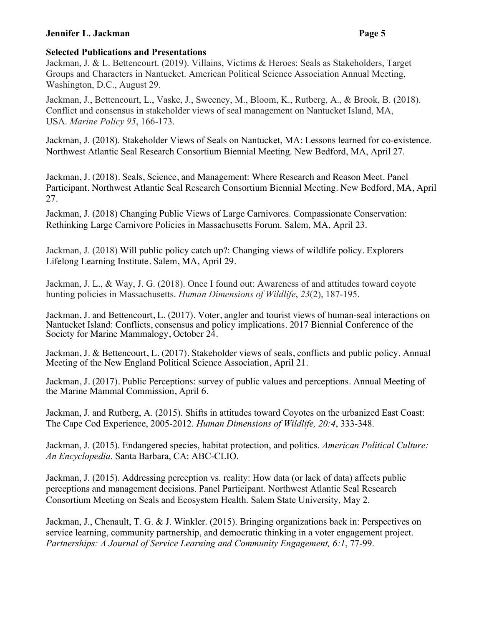# **Selected Publications and Presentations**

Jackman, J. & L. Bettencourt. (2019). Villains, Victims & Heroes: Seals as Stakeholders, Target Groups and Characters in Nantucket. American Political Science Association Annual Meeting, Washington, D.C., August 29.

Jackman, J., Bettencourt, L., Vaske, J., Sweeney, M., Bloom, K., Rutberg, A., & Brook, B. (2018). Conflict and consensus in stakeholder views of seal management on Nantucket Island, MA, USA. *Marine Policy 95*, 166-173.

Jackman, J. (2018). Stakeholder Views of Seals on Nantucket, MA: Lessons learned for co-existence. Northwest Atlantic Seal Research Consortium Biennial Meeting. New Bedford, MA, April 27.

Jackman, J. (2018). Seals, Science, and Management: Where Research and Reason Meet. Panel Participant. Northwest Atlantic Seal Research Consortium Biennial Meeting. New Bedford, MA, April 27.

Jackman, J. (2018) Changing Public Views of Large Carnivores. Compassionate Conservation: Rethinking Large Carnivore Policies in Massachusetts Forum. Salem, MA, April 23.

Jackman, J. (2018) Will public policy catch up?: Changing views of wildlife policy. Explorers Lifelong Learning Institute. Salem, MA, April 29.

Jackman, J. L., & Way, J. G. (2018). Once I found out: Awareness of and attitudes toward coyote hunting policies in Massachusetts. *Human Dimensions of Wildlife*, *23*(2), 187-195.

Jackman, J. and Bettencourt, L. (2017). Voter, angler and tourist views of human-seal interactions on Nantucket Island: Conflicts, consensus and policy implications. 2017 Biennial Conference of the Society for Marine Mammalogy, October 24.

Jackman, J. & Bettencourt, L. (2017). Stakeholder views of seals, conflicts and public policy. Annual Meeting of the New England Political Science Association, April 21.

Jackman, J. (2017). Public Perceptions: survey of public values and perceptions. Annual Meeting of the Marine Mammal Commission, April 6.

Jackman, J. and Rutberg, A. (2015). Shifts in attitudes toward Coyotes on the urbanized East Coast: The Cape Cod Experience, 2005-2012. *Human Dimensions of Wildlife, 20:4*, 333-348.

Jackman, J. (2015). Endangered species, habitat protection, and politics. *American Political Culture: An Encyclopedia*. Santa Barbara, CA: ABC-CLIO.

Jackman, J. (2015). Addressing perception vs. reality: How data (or lack of data) affects public perceptions and management decisions. Panel Participant. Northwest Atlantic Seal Research Consortium Meeting on Seals and Ecosystem Health. Salem State University, May 2.

Jackman, J., Chenault, T. G. & J. Winkler. (2015). Bringing organizations back in: Perspectives on service learning, community partnership, and democratic thinking in a voter engagement project. *Partnerships: A Journal of Service Learning and Community Engagement, 6:1*, 77-99.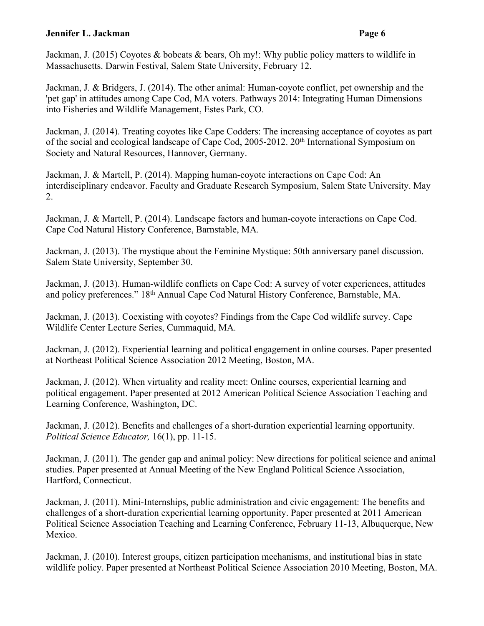Jackman, J. (2015) Coyotes & bobcats & bears, Oh my!: Why public policy matters to wildlife in Massachusetts. Darwin Festival, Salem State University, February 12.

Jackman, J. & Bridgers, J. (2014). The other animal: Human-coyote conflict, pet ownership and the 'pet gap' in attitudes among Cape Cod, MA voters. Pathways 2014: Integrating Human Dimensions into Fisheries and Wildlife Management, Estes Park, CO.

Jackman, J. (2014). Treating coyotes like Cape Codders: The increasing acceptance of coyotes as part of the social and ecological landscape of Cape Cod, 2005-2012. 20<sup>th</sup> International Symposium on Society and Natural Resources, Hannover, Germany.

Jackman, J. & Martell, P. (2014). Mapping human-coyote interactions on Cape Cod: An interdisciplinary endeavor. Faculty and Graduate Research Symposium, Salem State University. May 2.

Jackman, J. & Martell, P. (2014). Landscape factors and human-coyote interactions on Cape Cod. Cape Cod Natural History Conference, Barnstable, MA.

Jackman, J. (2013). The mystique about the Feminine Mystique: 50th anniversary panel discussion. Salem State University, September 30.

Jackman, J. (2013). Human-wildlife conflicts on Cape Cod: A survey of voter experiences, attitudes and policy preferences." 18th Annual Cape Cod Natural History Conference, Barnstable, MA.

Jackman, J. (2013). Coexisting with coyotes? Findings from the Cape Cod wildlife survey. Cape Wildlife Center Lecture Series, Cummaquid, MA.

Jackman, J. (2012). Experiential learning and political engagement in online courses. Paper presented at Northeast Political Science Association 2012 Meeting, Boston, MA.

Jackman, J. (2012). When virtuality and reality meet: Online courses, experiential learning and political engagement. Paper presented at 2012 American Political Science Association Teaching and Learning Conference, Washington, DC.

Jackman, J. (2012). Benefits and challenges of a short-duration experiential learning opportunity. *Political Science Educator,* 16(1), pp. 11-15.

Jackman, J. (2011). The gender gap and animal policy: New directions for political science and animal studies. Paper presented at Annual Meeting of the New England Political Science Association, Hartford, Connecticut.

Jackman, J. (2011). Mini-Internships, public administration and civic engagement: The benefits and challenges of a short-duration experiential learning opportunity. Paper presented at 2011 American Political Science Association Teaching and Learning Conference, February 11-13, Albuquerque, New Mexico.

Jackman, J. (2010). Interest groups, citizen participation mechanisms, and institutional bias in state wildlife policy. Paper presented at Northeast Political Science Association 2010 Meeting, Boston, MA.